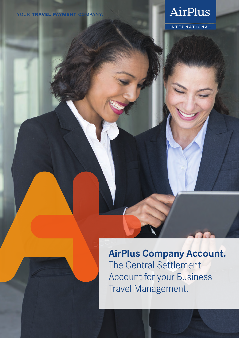# AirPlus

**INTERNATIONAL** 

## **AirPlus Company Account.** The Central Settlement Account for your Business Travel Management.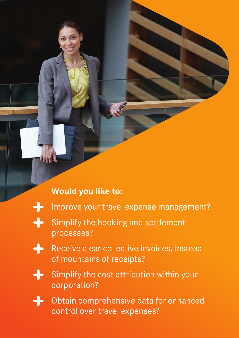## **Would you like to:**

- $\div$
- Improve your travel expense management?
- $+$ Simplify the booking and settlement processes?
	- Receive clear collective invoices, instead of mountains of receipts?
- 
- Simplify the cost attribution within your corporation?

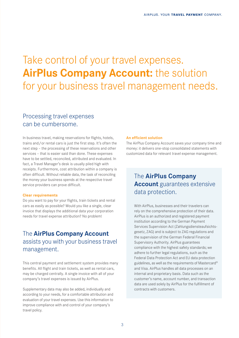# Take control of your travel expenses. **AirPlus Company Account:** the solution for your business travel management needs.

### Processing travel expenses can be cumbersome.

In business travel, making reservations for flights, hotels, trains and/or rental cars is just the first step. It's often the next step – the processing of these reservations and other services – that is easier said than done. These expenses have to be settled, reconciled, attributed and evaluated. In fact, a Travel Manager's desk is usually piled high with receipts. Furthermore, cost attribution within a company is often difficult. Without reliable data, the task of reconciling the money your business spends at the respective travel service providers can prove difficult.

#### **Clear requirements**

Do you want to pay for your flights, train tickets and rental cars as easily as possible? Would you like a single, clear invoice that displays the additional data your corporation needs for travel expense attribution? No problem!

## The **AirPlus Company Account** assists you with your business travel management.

This central payment and settlement system provides many benefits. All flight and train tickets, as well as rental cars, may be charged centrally. A single invoice with all of your company's travel expenses is issued by AirPlus.

Supplementary data may also be added, individually and according to your needs, for a comfortable attribution and evaluation of your travel expenses. Use this information to improve compliance with and control of your company's travel policy.

#### **An efficient solution**

The AirPlus Company Account saves your company time and money: it delivers one-stop consolidated statements with customized data for relevant travel expense management.

## The **AirPlus Company Account** guarantees extensive data protection.

With AirPlus, businesses and their travelers can rely on the comprehensive protection of their data. AirPlus is an authorized and registered payment institution according to the German Payment Services Supervision Act (Zahlungsdiensteaufsichtsgesetz, ZAG) and is subject to ZAG regulations and the supervision of the German Federal Financial Supervisory Authority. AirPlus guarantees compliance with the highest safety standards; we adhere to further legal regulations, such as the Federal Data Protection Act and EU data protection guidelines, as well as the requirements of Mastercard® and Visa. AirPlus handles all data processes on an internal and proprietary basis. Data such as the customer's name, account number, and transaction data are used solely by AirPlus for the fulfillment of contracts with customers.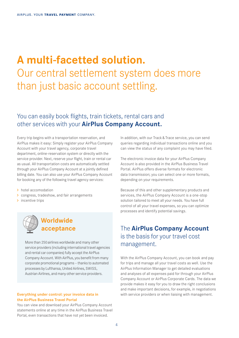# **A multi-facetted solution.**  Our central settlement system does more than just basic account settling.

## You can easily book flights, train tickets, rental cars and other services with your **AirPlus Company Account.**

Every trip begins with a transportation reservation, and AirPlus makes it easy: Simply register your AirPlus Company Account with your travel agency, corporate travel department, online-reservation system or directly with the service provider. Next, reserve your flight, train or rental car as usual. All transportation costs are automatically settled through your AirPlus Company Account at a jointly defined billing date. You can also use your AirPlus Company Account for booking any of the following travel agency services:

> hotel accomodation

- congress, tradeshow, and fair arrangements
- > incentive trips



More than 250airlines worldwide and many other service providers (including international travel agencies and rental car companies) fully accept the AirPlus Company Account. With AirPlus, you benefit from many corporate promotional programs – thanks to automated processes by Lufthansa, United Airlines, SWISS, Austrian Airlines, and many other service providers.

#### **Everything under control: your invoice data in the AirPlus Business Travel Portal**

You can view and download your AirPlus Company Account statements online at any time in the AirPlus Business Travel Portal, even transactions that have not yet been invoiced.

In addition, with our Track & Trace service, you can send queries regarding individual transactions online and you can view the status of any complaint you may have filed.

The electronic invoice data for your AirPlus Company Account is also provided in the AirPlus Business Travel Portal. AirPlus offers diverse formats for electronic data transmission; you can select one or more formats, depending on your requirements.

Because of this and other supplementary products and services, the AirPlus Company Account is a one-stop solution tailored to meet all your needs. You have full control of all your travel expenses, so you can optimize processes and identify potential savings.

### The **AirPlus Company Account** is the basis for your travel cost management.

With the AirPlus Company Account, you can book and pay for trips and manage all your travel costs as well. Use the AirPlus Information Manager to get detailed evaluations and analyses of all expenses paid for through your AirPlus Company Account or AirPlus Corporate Cards. The data we provide makes it easy for you to draw the right conclusions and make important decisions, for example, in negotiations with service providers or when liaising with management.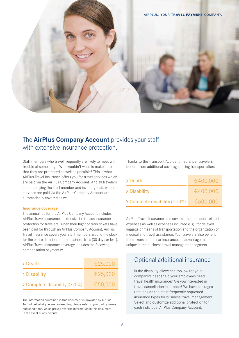

### The **AirPlus Company Account** provides your staff with extensive insurance protection.

Staff members who travel frequently are likely to meet with trouble at some stage. Who wouldn't want to make sure that they are protected as well as possible? This is what AirPlus Travel Insurance offers you for travel services which are paid via the AirPlus Company Account. And all travelers accompanying the staff member and invited guests whose services are paid via the AirPlus Company Account are automatically covered as well.

#### **Insurance coverage**

The annual fee for the AirPlus Company Account includes AirPlus Travel Insurance – extensive first-class insurance protection for travelers. When their flight or train tickets have been paid for through an AirPlus Company Account, AirPlus Travel Insurance covers your staff members around the clock for the entire duration of their business trips (30 days or less). AirPlus Travel Insurance coverage includes the following compensation payments::

| > Death                                | €25,000 |
|----------------------------------------|---------|
| > Disability                           | €25,000 |
| $\geq$ Complete disability ( $>70\%$ ) | €50,000 |

The information contained in this document is provided by AirPlus. To find out what you are covered for, please refer to your policy terms and conditions, which prevail over the information in this document in the event of any dispute.

Thanks to the Transport Accident Insurance, travelers benefit from additional coverage during transportation:

| > Death                                | €400,000 |
|----------------------------------------|----------|
| > Disability                           | €400,000 |
| $\geq$ Complete disability ( $>70\%$ ) | €600,000 |

AirPlus Travel Insurance also covers other accident-related expenses as well as expenses incurred e. g., for delayed luggage or means of transportation and the organization of medical and travel assistance. Your travelers also benefit from excess rental car insurance, an advantage that is unique in the business travel management segment.

### Optional additional insurance

Is the disability allowance too low for your company's needs? Do your employees need travel health insurance? Are you interested in travel cancellation insurance? We have packages that include the most frequently requested insurance types for business travel management. Select and customize additional protection for each individual AirPlus Company Account.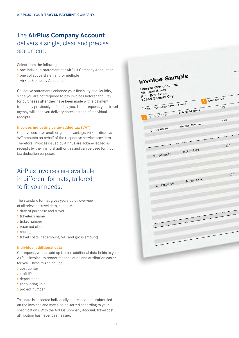## The **AirPlus Company Account** delivers a single, clear and precise statement.

Select from the following:

- one individual statement per AirPlus Company Account or
- > one collective statement for multiple AirPlus Company Accounts.

Collective statements enhance your flexibility and liquidity, since you are not required to pay invoices beforehand. Pay for purchases after they have been made with a payment frequency previously defined by you. Upon request, your travel agency will send you delivery notes instead of individual receipts.

#### **Invoices indicating value-added tax (VAT)**

Our invoices have another great advantage: AirPlus displays VAT amounts on behalf of the respective service providers. Therefore, invoices issued by AirPlus are acknowledged as receipts by the financial authorities and can be used for input tax deduction purposes.

## AirPlus invoices are available in different formats, tailored to fit your needs.

The standard format gives you a quick overview of all relevant travel data, such as:

- > date of purchase and travel
- > traveler's name
- > ticket number
- > reserved class
- > routing
- > travel costs (net amount, VAT and gross amount)

#### **Individual additional data**

On request, we can add up to nine additional data fields to your AirPlus invoice, to render reconciliation and attribution easier for you. These might include:

- > cost center
- > staff ID
- > department
- accounting unit
- > project number

This data is collected individually per reservation, subtotaled on the invoices and may also be sorted according to your specifications. With the AirPlus Company Account, travel cost attribution has never been easier.

| <b>Invoice Sample</b><br>Sample Company Ltd. |                 |             |
|----------------------------------------------|-----------------|-------------|
| Ms Jane Smith<br>P.O. Box 12 34              |                 |             |
| 12345 Sample City                            | 4               | Cost Center |
| Purchase Date<br>Pos.                        | Name            | 139         |
| 1 07.09.15                                   | Schulz, Michael |             |
|                                              |                 | 139         |
| 2 07.09.15                                   | Schulz, Michael |             |
|                                              |                 |             |
|                                              |                 | 123         |
| 08.09.15<br>3                                | Müller, Max     |             |
|                                              |                 | 123         |
| 09.09.15<br>$\overline{4}$                   | Müller, Max     |             |
|                                              |                 |             |
|                                              |                 |             |
|                                              |                 |             |
|                                              |                 |             |
|                                              |                 |             |
|                                              |                 |             |
|                                              |                 |             |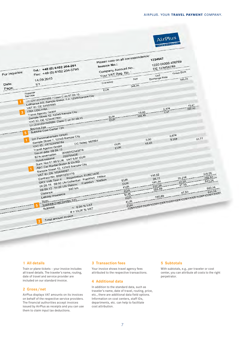

#### **1 All details**

Train or plane tickets – your invoice includes all travel details. The traveler's name, routing, date of travel and service provider are included on our standard invoice.

#### **2 Gross/net**

AirPlus displays VAT amounts on its invoices on behalf of the respective service providers. The financial authorities accept invoices issued by AirPlus as receipts and you can use them to claim input tax deductions.

#### **3 Transaction fees**

Your invoice shows travel agency fees attributed to the respective transactions.

#### **4 Additional data**

In addition to the standard data, such as traveler's name, date of travel, routing, price, etc., there are additional data field options. Information on cost centers, staff IDs, departments, etc. can help to facilitate cost attribution.

#### **5 Subtotals**

With subtotals, e.g., per traveler or cost center, you can attribute all costs to the right perpetrator.